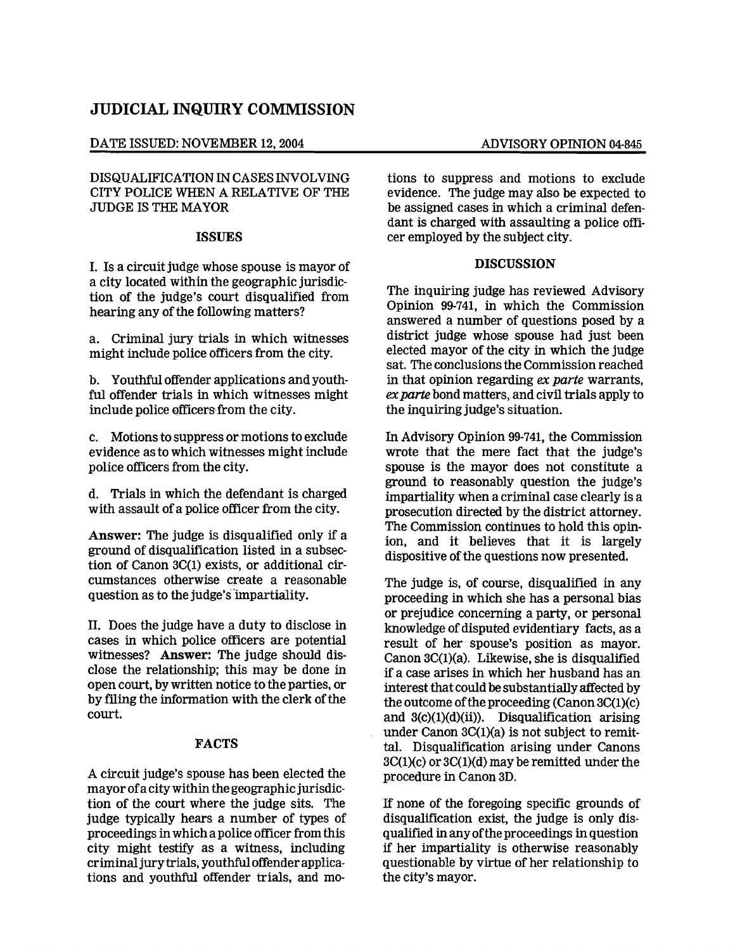# **JUDICIAL INQUIRY COMMISSION**

### DATE ISSUED: NOVEMBER 12, 2004 ADVISORY OPINION 04-845

DISQUALIFICATION IN CASES INVOLVING CITY POLICE WHEN A RELATIVE OF THE JUDGE IS THE MAYOR

### ISSUES

I. Is a circuit judge whose spouse is mayor of a city located within the geographic jurisdiction of the judge's court disqualified from hearing any of the following matters?

a. Criminal jury trials in which witnesses might include police officers from the city.

b. Youthful offender applications and youthful offender trials in which witnesses might include police officers from the city.

c. Motions to suppress or motions to exclude evidence as to which witnesses might include police officers from the city.

d. Trials in which the defendant is charged with assault of a police officer from the city.

Answer: The judge is disqualified only if a ground of disqualification listed in a subsection of Canon 3C(I) exists, or additional circumstances otherwise create a reasonable question as to the judge's'impartiality.

II. Does the judge have a duty to disclose in cases in which police officers are potential witnesses? Answer: The judge should disclose the relationship; this may be done in open court, by written notice to the parties, or by filing the information with the clerk of the court.

# FACTS

A circuit judge's spouse has been elected the mayor ofa city within the geographic jurisdiction of the court where the judge sits. The judge typically hears a number of types of proceedings inwhich a police officer from this city might testify as a witness, including criminaljurytrials, youthfuloffender applications and youthful offender trials, and mo-

tions to suppress and motions to exclude evidence. The judge may also be expected to be assigned cases in which a criminal defendant is charged with assaulting a police officer employed by the subject city.

# DISCUSSION

The inquiring judge has reviewed Advisory Opinion 99-741, in which the Commission answered a number of questions posed by a district judge whose spouse had just been elected mayor of the city in which the judge sat. The conclusions the Commission reached in that opinion regarding *ex parte* warrants, *ex parte* bond matters, and civil trials apply to the inquiring judge's situation.

In Advisory Opinion 99-741, the Commission wrote that the mere fact that the judge's spouse is the mayor does not constitute a ground to reasonably question the judge's impartiality when a criminal case clearly is a prosecution directed by the district attorney. The Commission continues to hold this opinion, and it believes that it is largely dispositive of the questions now presented.

The judge is, of course, disqualified in any proceeding in which she has a personal bias or prejudice concerning a party, or personal knowledge of disputed evidentiary facts, as a result of her spouse's position as mayor. Canon 3C(I)(a). Likewise, she is disqualified if a case arises in which her husband has an interest that could be substantiallyaffected by the outcome ofthe proceeding (Canon 3C(I)(c) and  $3(c)(1)(d)(ii)$ . Disqualification arising under Canon 3C(I)(a) is not subject to remittal. Disqualification arising under Canons 3C(I)(c) or 3C(l)(d) may be remitted under the procedure in Canon 3D.

If none of the foregoing specific grounds of disqualification exist, the judge is only disqualified in anyofthe proceedings inquestion if her impartiality is otherwise reasonably questionable by virtue of her relationship to the city's mayor.